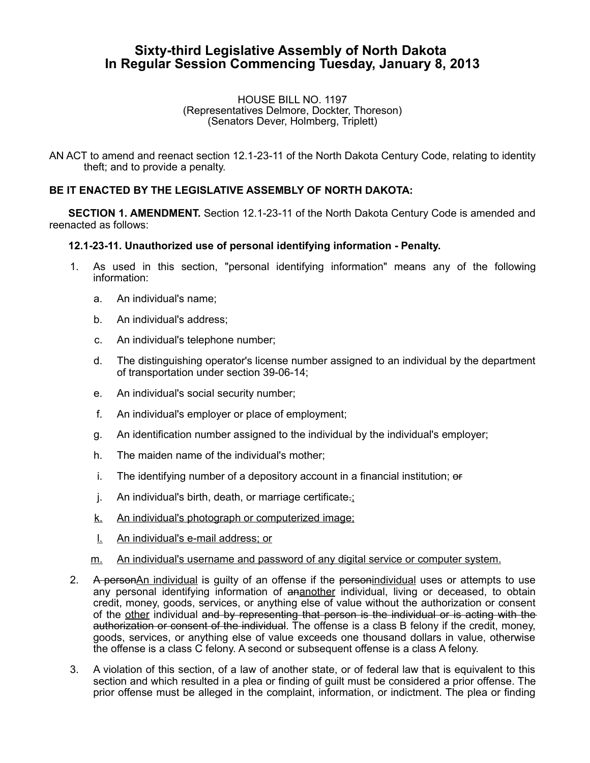## **Sixty-third Legislative Assembly of North Dakota In Regular Session Commencing Tuesday, January 8, 2013**

HOUSE BILL NO. 1197 (Representatives Delmore, Dockter, Thoreson) (Senators Dever, Holmberg, Triplett)

AN ACT to amend and reenact section 12.1-23-11 of the North Dakota Century Code, relating to identity theft; and to provide a penalty.

## **BE IT ENACTED BY THE LEGISLATIVE ASSEMBLY OF NORTH DAKOTA:**

**SECTION 1. AMENDMENT.** Section 12.1-23-11 of the North Dakota Century Code is amended and reenacted as follows:

## **12.1-23-11. Unauthorized use of personal identifying information - Penalty.**

- 1. As used in this section, "personal identifying information" means any of the following information:
	- a. An individual's name;
	- b. An individual's address;
	- c. An individual's telephone number;
	- d. The distinguishing operator's license number assigned to an individual by the department of transportation under section 39-06-14;
	- e. An individual's social security number;
	- f. An individual's employer or place of employment;
	- g. An identification number assigned to the individual by the individual's employer;
	- h. The maiden name of the individual's mother;
	- i. The identifying number of a depository account in a financial institution;  $\theta$
	- j. An individual's birth, death, or marriage certificate.;
	- k. An individual's photograph or computerized image;
	- l. An individual's e-mail address; or
	- m. An individual's username and password of any digital service or computer system.
- 2. A personAn individual is guilty of an offense if the personindividual uses or attempts to use any personal identifying information of ananother individual, living or deceased, to obtain credit, money, goods, services, or anything else of value without the authorization or consent of the other individual and by representing that person is the individual or is acting with the authorization or consent of the individual. The offense is a class B felony if the credit, money, goods, services, or anything else of value exceeds one thousand dollars in value, otherwise the offense is a class C felony. A second or subsequent offense is a class A felony.
- 3. A violation of this section, of a law of another state, or of federal law that is equivalent to this section and which resulted in a plea or finding of guilt must be considered a prior offense. The prior offense must be alleged in the complaint, information, or indictment. The plea or finding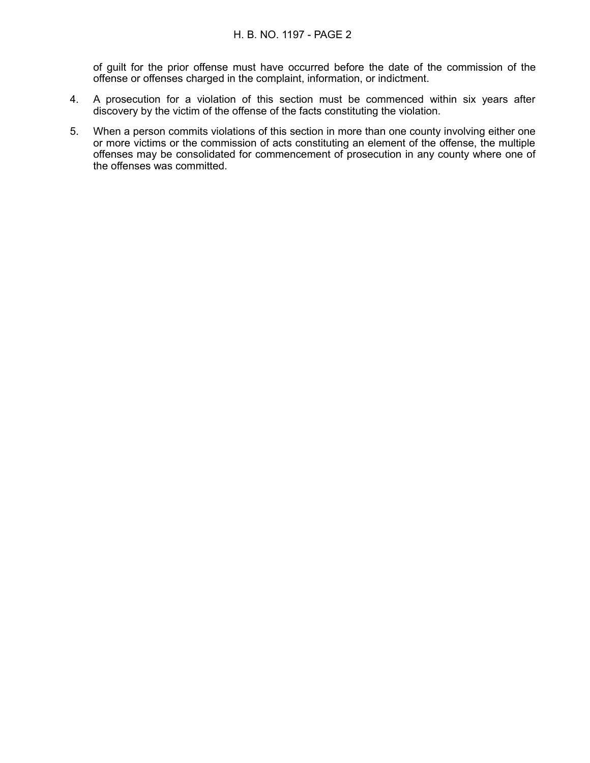of guilt for the prior offense must have occurred before the date of the commission of the offense or offenses charged in the complaint, information, or indictment.

- 4. A prosecution for a violation of this section must be commenced within six years after discovery by the victim of the offense of the facts constituting the violation.
- 5. When a person commits violations of this section in more than one county involving either one or more victims or the commission of acts constituting an element of the offense, the multiple offenses may be consolidated for commencement of prosecution in any county where one of the offenses was committed.